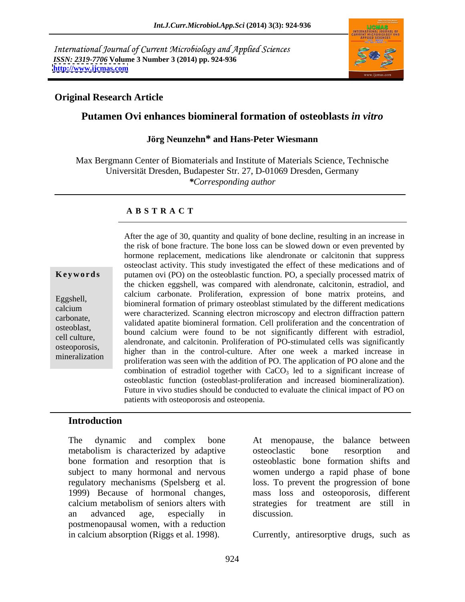International Journal of Current Microbiology and Applied Sciences *ISSN: 2319-7706* **Volume 3 Number 3 (2014) pp. 924-936 <http://www.ijcmas.com>**



### **Original Research Article**

### **Putamen Ovi enhances biomineral formation of osteoblasts** *in vitro*

### **Jörg Neunzehn\* and Hans-Peter Wiesmann**

Max Bergmann Center of Biomaterials and Institute of Materials Science, Technische Universität Dresden, Budapester Str. 27, D-01069 Dresden, Germany *\*Corresponding author* 

### **A B S T R A C T**

**Keywords** putamen ovi (PO) on the osteoblastic function. PO, a specially processed matrix of Eggshell,<br>
biomineral formation of primary osteoblast stimulated by the different medications<br>
calcium<br>
wave obeyed string alectron microscopy and electron different medications carbonate, validated apatite biomineral formation. Cell proliferation and the concentration of osteoblast,<br>
bound calcium were found to be not significantly different with estradiol, cell culture,<br>
alendronate, and calcitonin. Proliferation of PO-stimulated cells was significantly osteoporosis,<br>
higher than in the control-culture. After one week a marked increase in mineralization<br>proliferation was seen with the addition of PO. The application of PO alone and the After the age of 30, quantity and quality of bone decline, resulting in an increase in the risk of bone fracture. The bone loss can be slowed down or even prevented by hormone replacement, medications like alendronate or calcitonin that suppress osteoclast activity. This study investigated the effect of these medications and of the chicken eggshell, was compared with alendronate, calcitonin, estradiol, and calcium carbonate. Proliferation, expression of bone matrix proteins, and were characterized. Scanning electron microscopy and electron diffraction pattern combination of estradiol together with  $CaCO<sub>3</sub>$  led to a significant increase of osteoblastic function (osteoblast-proliferation and increased biomineralization). Future in vivo studies should be conducted to evaluate the clinical impact of PO on patients with osteoporosis and osteopenia.

### **Introduction**

The dynamic and complex bone At menopause, the balance between metabolism is characterized by adaptive bone formation and resorption that is subject to many hormonal and nervous women undergo a rapid phase of bone regulatory mechanisms (Spelsberg et al. loss. To prevent the progression of bone 1999) Because of hormonal changes, mass loss and osteoporosis, different calcium metabolism of seniors alters with an advanced age, especially in postmenopausal women, with a reduction

At menopause, the balance between osteoclastic bone resorption and osteoblastic bone formation shifts and strategies for treatment are still in discussion.

in calcium absorption (Riggs et al. 1998). Currently, antiresorptive drugs, such as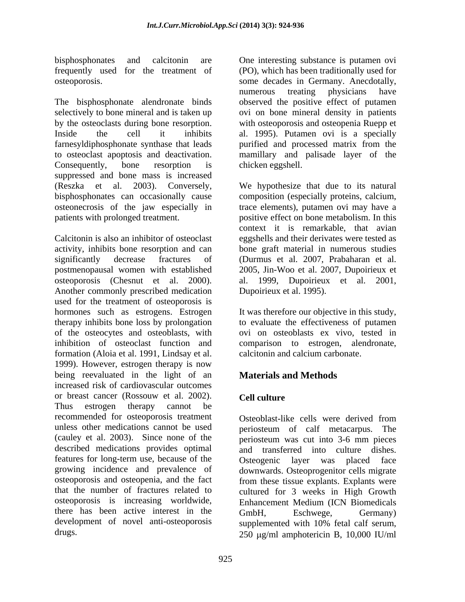The bisphosphonate alendronate binds selectively to bone mineral and is taken up by the osteoclasts during bone resorption. with osteoporosis and osteopenia Ruepp et Inside the cell it inhibits al. 1995). Putamen ovi is a specially farnesyldiphosphonate synthase that leads purified and processed matrix from the to osteoclast apoptosis and deactivation. mamillary and palisade layer of the Consequently, bone resorption is chicken eggshell. suppressed and bone mass is increased (Reszka et al. 2003). Conversely, We hypothesize that due to its natural bisphosphonates can occasionally cause composition (especially proteins, calcium, osteonecrosis of the jaw especially in patients with prolonged treatment. positive effect on bone metabolism. In this

Calcitonin is also an inhibitor of osteoclast eggshells and their derivates were tested as activity, inhibits bone resorption and can bone graft material in numerous studies significantly decrease fractures of (Durmuset al. 2007, Prabaharan et al. postmenopausal women with established 2005, Jin-Woo et al. 2007, Dupoirieux et osteoporosis (Chesnut et al. 2000). al. 1999, Dupoirieux et al. 2001, Another commonly prescribed medication used for the treatment of osteoporosis is hormones such as estrogens. Estrogen therapy inhibits bone loss by prolongation of the osteocytes and osteoblasts, with ovi on osteoblastsex vivo, tested in inhibition of osteoclast function and comparison to estrogen, alendronate, formation (Aloia et al. 1991, Lindsay et al. 1999). However, estrogen therapy is now being reevaluated in the light of an **Materials and Methods** increased risk of cardiovascular outcomes or breast cancer (Rossouw et al. 2002). Thus estrogen therapy cannot be recommended for osteoporosis treatment unless other medications cannot be used periosteum of calf metacarpus. The (cauley et al. 2003). Since none of the periosteum was cut into 3-6 mm pieces described medications provides optimal features for long-term use, because of the Osteogenic layer was placed face growing incidence and prevalence of downwards. Osteoprogenitor cells migrate osteoporosis and osteopenia, and the fact from these tissue explants. Explants were that the number of fractures related to osteoporosis is increasing worldwide, there has been active interest in the GmbH, Eschwege, Germany) development of novel anti-osteoporosis supplemented with 10% fetal calf serum,

bisphosphonates and calcitonin are One interesting substance is putamen ovi frequently used for the treatment of (PO), which has been traditionally used for osteoporosis. some decades in Germany. Anecdotally, numerous treating physicians have observed the positive effect of putamen ovi on bone mineral density in patients chicken eggshell.

> trace elements), putamen ovi may have a context it is remarkable, that avian Dupoirieux et al. 1995).

> It was therefore our objective in this study, to evaluate the effectiveness of putamen calcitonin and calcium carbonate.

# **Materials and Methods**

# **Cell culture**

drugs.  $250 \text{ }\mu\text{g/ml}$  amphotericin B, 10,000 IU/ml Osteoblast-like cells were derived from and transferred into culture dishes. cultured for 3 weeks in High Growth Enhancement Medium (ICN Biomedicals GmbH, Eschwege, Germany) supplemented with 10% fetal calf serum,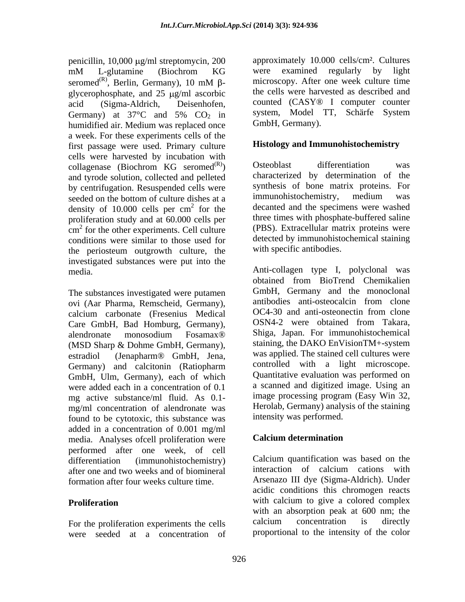penicillin,  $10,000 \mu g/ml$  streptomycin,  $200$ mM L-glutamine (Biochrom KG seromed<sup>(R)</sup>, Berlin, Germany), 10 mM  $\beta$ glycerophosphate, and  $25 \mu g/ml$  ascorbic acid (Sigma-Aldrich, Deisenhofen, counted (CASY® I computer counter Germany) at  $37^{\circ}$ C and  $5\%$  CO<sub>2</sub> in system, Model TT, Schärfe System humidified air. Medium was replaced once a week. For these experiments cells of the first passage were used. Primary culture cells were harvested by incubation with<br>collagenase (Biochrom  $KG$  seromed<sup>(R)</sup>) Osteoblast differentiation was collagenase (Biochrom KG seromed $^{(R)}$ ) and tyrode solution, collected and pelleted by centrifugation. Resuspended cells were synthesis of bone matrix proteins. For seeded on the bottom of culture dishes at a immunohistochemistry, medium was seeded on the bottom of culture dishes at a density of 10.000 cells per  $cm<sup>2</sup>$  for the proliferation study and at 60.000 cells per cm<sup>2</sup> for the other experiments. Cell culture (PBS). Extracellular matrix proteins were conditions were similar to those used for the periosteum outgrowth culture, the investigated substances were put into the

The substances investigated were putamen<br>
ovi (Aar Pharma, Remscheid, Germany) antibodies anti-osteocalcin from clone ovi (Aar Pharma, Remscheid, Germany), antibodies anti-osteocalcin from clone<br>calcium carbonate (Fresenius Medical OC4-30 and anti-osteonectin from clone calcium carbonate (Fresenius Medical CC4-30 and anti-osteonectin from clone<br>Care GmbH Bad Homburg Germany) CSN4-2 were obtained from Takara, Care GmbH, Bad Homburg, Germany), GmbH, Ulm, Germany), each of which were added each in a concentration of 0.1 mg active substance/ml fluid. As 0.1 mg/ml concentration of alendronate was found to be cytotoxic, this substance was added in a concentration of 0.001 mg/ml<br>media Analyses of cell proliferation were **Calcium determination** media. Analyses ofcell proliferation were performed after one week, of cell after one and two weeks and of biomineral interaction of calcium cations with formation after four weeks culture time.

were seeded at a concentration of

, Berlin, Germany), 10 mM  $\beta$ - microscopy. After one week culture time approximately 10.000 cells/cm². Cultures were examined regularly by light microscopy. After one week culture time the cells were harvested as described and system, Model TT, Schärfe System GmbH, Germany).

### **Histology and Immunohistochemistry**

 $(R)$  Osteoblast differentiation was <sup>2</sup> for the decanted and the specimens were washed <sup>2</sup> for the other experiments. Cell culture (PBS). Extracellular matrix proteins were Osteoblast differentiation was characterized by determination of the synthesis of bone matrix proteins. For immunohistochemistry, medium was three times with phosphate-buffered saline detected by immunohistochemical staining with specific antibodies.

media. Anti-collagen type I, polyclonal was alendronate monosodium Fosamax® (MSD Sharp & Dohme GmbH, Germany), estradiol (Jenapharm® GmbH, Jena, was applied. The stained cell cultures were Germany) and calcitonin (Ratiopharm controlled with a light microscope. obtained from BioTrend Chemikalien GmbH, Germany and the monoclonal antibodies anti-osteocalcin from clone OC4-30 and anti-osteonectin from clone OSN4-2 were obtained from Takara, Shiga, Japan. For immunohistochemical staining, the DAKO EnVisionTM+-system was applied. The stained cell cultures were controlled with a light microscope. Quantitative evaluation was performed on a scanned and digitized image. Using an image processing program (Easy Win 32, Herolab, Germany) analysis of the staining intensity was performed.

### **Calcium determination**

differentiation (immunohistochemistry) Calcium quantification was based on the **Proliferation Example 20** with calcium to give a colored complex For the proliferation experiments the cells calcium concentration is directly interaction of calcium cations with Arsenazo III dye (Sigma-Aldrich). Under acidic conditions this chromogen reacts with an absorption peak at 600 nm; the calcium concentration is directly proportional to the intensity of the color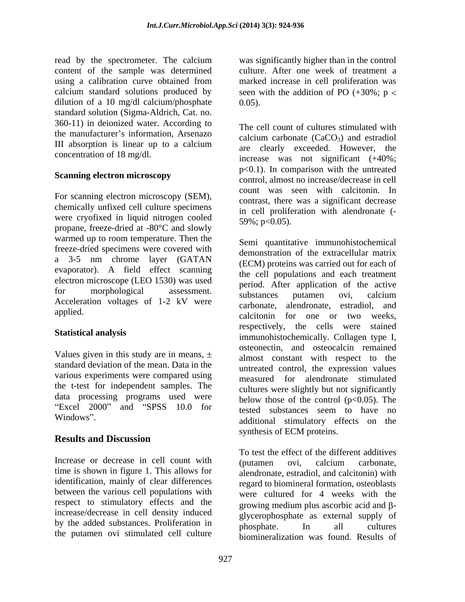read by the spectrometer. The calcium content of the sample was determined using a calibration curve obtained from marked increase in cell proliferation was calcium standard solutions produced by seen with the addition of PO  $(+30\%; p <$ dilution of a 10 mg/dl calcium/phosphate  $0.05$ . standard solution (Sigma-Aldrich, Cat. no. 360-11) in deionized water. According to the manufacturer's information, Arsenazo

For scanning electron microscopy (SEM), chemically unfixed cell culture specimens were cryofixed in liquid nitrogen cooled propane, freeze-dried at -80°C and slowly warmed up to room temperature. Then the freeze-dried specimens were covered with a 3-5 nm chrome layer (GATAN evaporator). A field effect scanning electron microscope (LEO 1530) was used Fraceleration voltages of 1-2 kV were substances putamen ovi, calcium<br>Acceleration voltages of 1-2 kV were samples algorithments actualized and

Values given in this study are in means,  $\pm$ standard deviation of the mean. Data in the various experiments were compared using the t-test for independent samples. The data processing programs used were "Excel  $2000$ " and "SPSS  $10.0$  for

## **Results and Discussion**

Increase or decrease in cell count with (putamen ovi, calcium carbonate, time is shown in figure 1. This allows for between the various cell populations with respect to stimulatory effects and the by the added substances. Proliferation in the physical phosphate. In all cultures the putamen ovi stimulated cell culture

was significantly higher than in the control culture. After one week of treatment a marked increase in cell proliferation was 0.05).

III absorption is linear up to a calcium  $\frac{\text{eulerum}}{\text{area}}$  clearly exceeded. However, the concentration of 18 mg/dl. increase was not significant (+40%; **Scanning electron microscopy**<br>
control, almost no increase/decrease in cell The cell count of cultures stimulated with calcium carbonate  $(CaCO<sub>3</sub>)$  and estradiol are clearly exceeded. However, the p<0.1). In comparison with the untreated count was seen with calcitonin. In contrast, there was a significant decrease in cell proliferation with alendronate (- 59%; p<0.05).

for morphological assessment. Prince approached the active applied. and the calcitonin for one or two weeks, Statistical analysis<br>
immunohistochemically. Collagen type I, Windows". and a structure of the contract of the contract of the contract of the contract of the contract of the contract of the contract of the contract of the contract of the contract of the contract of the contract of t Semi quantitative immunohistochemical demonstration of the extracellular matrix (ECM) proteins was carried out for each of the cell populations and each treatment period. After application of the active substances putamen ovi, calcium carbonate, alendronate, estradiol, and respectively, the cells were stained osteonectin, and osteocalcin remained almost constant with respect to the untreated control, the expression values measured for alendronate stimulated cultures were slightly but not significantly below those of the control  $(p<0.05)$ . The tested substances seem to have no synthesis of ECM proteins.

identification, mainly of clear differences regard to biomineral formation, osteoblasts increase/decrease in cell density induced glycerophosphate as external supply of To test the effect of the different additives (putamen ovi, calcium carbonate, alendronate, estradiol, and calcitonin) with were cultured for 4 weeks with the growing medium plus ascorbic acid and  $\beta$ phosphate. In all cultures biomineralization was found. Results of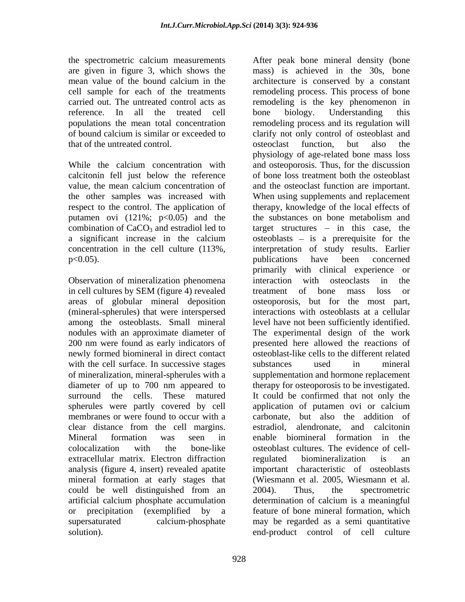the spectrometric calcium measurements After peak bone mineral density (bone carried out. The untreated control acts as that of the untreated control.

calcitonin fell just below the reference value, the mean calcium concentration of combination of  $CaCO<sub>3</sub>$  and estradiol led to<br>a significant increase in the calcium

Observation of mineralization phenomena interaction with osteoclasts in the in cell cultures by SEM (figure 4) revealed treatment of bone mass loss or among the osteoblasts. Small mineral newly formed biomineral in direct contact with the cell surface. In successive stages substances used in mineral of mineralization, mineral-spherules with a spherules were partly covered by cell application of putamen ovi or calcium clear distance from the cell margins. extracellular matrix. Electron diffraction analysis (figure 4, insert) revealed apatite could be well distinguished from an 2004). Thus, the spectrometric artificial calcium phosphate accumulation solution). end-product control of cell culture

are given in figure 3, which shows the mass) is achieved in the 30s, bone mean value of the bound calcium in the architecture is conserved by a constant cell sample for each of the treatments remodeling process. This process of bone reference. In all the treated cell bone biology. Understanding this populations the mean total concentration remodeling process and its regulation will of bound calcium is similar or exceeded to clarify not only control of osteoblast and While the calcium concentration with and osteoporosis. Thus, for the discussion the other samples was increased with When using supplements and replacement respect to the control. The application of therapy, knowledge of the local effects of putamen ovi  $(121\%; p<0.05)$  and the the substances on bone metabolism and a significant increase in the calcium osteoblasts – is a prerequisite for the concentration in the cell culture (113%, interpretation of study results. Earlier p<0.05). The publications have been concerned areas of globular mineral deposition osteoporosis, but for the most part, (mineral-spherules) that were interspersed interactions with osteoblasts at a cellular nodules with an approximate diameter of The experimental design of the work 200 nm were found as early indicators of presented here allowed the reactions of diameter of up to 700 nm appeared to therapy for osteoporosis to be investigated. surround the cells. These matured It could be confirmed that not only the membranes or were found to occur with a carbonate, but also the addition of Mineral formation was seen in enable biomineral formation in the colocalization with the bone-like osteoblast cultures. The evidence of cellmineral formation at early stages that (Wiesmann et al. 2005, Wiesmann et al. or precipitation (exemplified by a feature of bone mineral formation, which supersaturated calcium-phosphate may be regarded as a semi quantitative architecture is conserved by a constant remodeling is the key phenomenon in bone biology. Understanding this osteoclast function, but also the physiology of age-related bone mass loss of bone loss treatment both the osteoblast and the osteoclast function are important. target structures  $-$  in this case, the publications have been concerned primarily with clinical experience or interaction with osteoclasts in treatment of bone mass loss or level have not been sufficiently identified. osteoblast-like cells to the different related substances used in mineral supplementation and hormone replacement application of putamen ovi or calcium alendronate, and calcitonin regulated biomineralization is an important characteristic of osteoblasts 2004). Thus, the spectrometric determination of calcium is a meaningful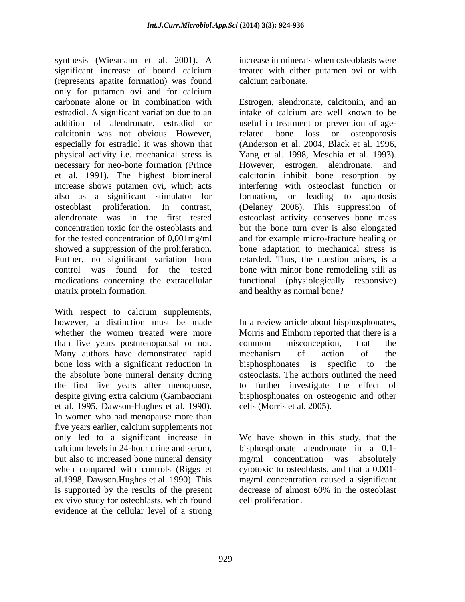synthesis (Wiesmann et al. 2001). A significant increase of bound calcium treated with either putamen ovi or with (represents apatite formation) was found only for putamen ovi and for calcium carbonate alone or in combination with Estrogen, alendronate, calcitonin, and an estradiol. A significant variation due to an intake of calcium are well known to be addition of alendronate, estradiol or useful in treatment or prevention of agecalcitonin was not obvious. However, especially for estradiol it was shown that physical activity i.e. mechanical stress is necessary for neo-bone formation (Prince However, estrogen, alendronate, and et al. 1991). The highest biomineral calcitonin inhibit bone resorption by increase shows putamen ovi, which acts also as a significant stimulator for formation, or leading to apoptosis osteoblast proliferation. In contrast, (Delaney 2006). This suppression of alendronate was in the first tested osteoclast activity conserves bone mass concentration toxic for the osteoblasts and but the bone turn over is also elongated for the tested concentration of 0,001mg/ml and for example micro-fracture healing or showed a suppression of the proliferation. bone adaptation to mechanical stress is Further, no significant variation from retarded. Thus, the question arises, is a control was found for the tested bone with minor bone remodeling still as medications concerning the extracellular functional (physiologically responsive) matrix protein formation. and healthy as normal bone?

With respect to calcium supplements, however, a distinction must be made In a review article about bisphosphonates, whether the women treated were more Morris and Einhorn reported that there is a than five years postmenopausal or not. Many authors have demonstrated rapid is mechanism of action of the bone loss with a significant reduction in bisphosphonates is specific to the the absolute bone mineral density during osteoclasts. The authors outlined the need the first five years after menopause, to further investigate the effect of despite giving extra calcium (Gambacciani bisphosphonates on osteogenic and other et al. 1995, Dawson-Hughes et al. 1990). In women who had menopause more than five years earlier, calcium supplements not only led to a significant increase in We have shown in this study, that the calcium levels in 24-hour urine and serum, bisphosphonate alendronate in a 0.1 but also to increased bone mineral density and majority concentration was absolutely when compared with controls (Riggs et al.1998, Dawson.Hughes et al. 1990). This is supported by the results of the present decrease of almost 60% in the osteoblast ex vivo study for osteoblasts, which found evidence at the cellular level of a strong

increase in minerals when osteoblasts were treated with either putamen ovi or with calcium carbonate.

intake of calcium are well known to be related bone loss or osteoporosis (Anderson et al. 2004, Black et al. 1996, Yang et al. 1998, Meschia et al. 1993). interfering with osteoclast function or formation, or leading to apoptosis

common misconception, that the mechanism of action of the bisphosphonates is specific to cells (Morris et al. 2005).

 $mg/ml$  concentration was cytotoxic to osteoblasts, and that a  $0.001$ mg/ml concentration caused a significant decrease of almost 60% in the osteoblast cell proliferation.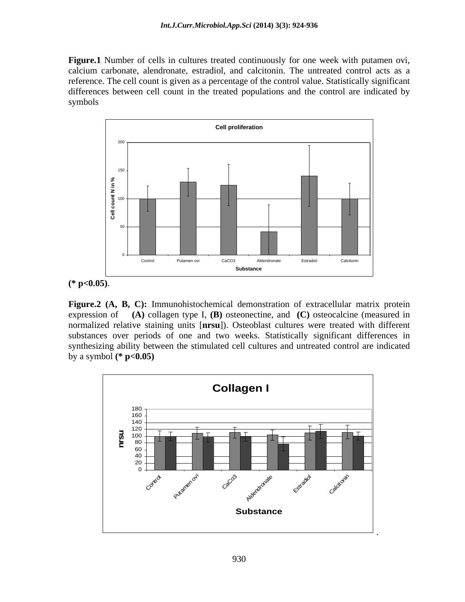**Figure.1** Number of cells in cultures treated continuously for one week with putamen ovi, calcium carbonate, alendronate, estradiol, and calcitonin. The untreated control acts as a reference. The cell count is given as a percentage of the control value. Statistically significant differences between cell count in the treated populations and the control are indicated by symbols



**(\* p<0.05)**.

**Figure.2 (A, B, C):** Immunohistochemical demonstration of extracellular matrix protein expression of **(A)** collagen type I, **(B)** osteonectine, and **(C)** osteocalcine (measured in normalized relative staining units [**nrsu**]). Osteoblast cultures were treated with different substances over periods of one and two weeks. Statistically significant differences in synthesizing ability between the stimulated cell cultures and untreated control are indicated by a symbol **(\* p<0.05)**

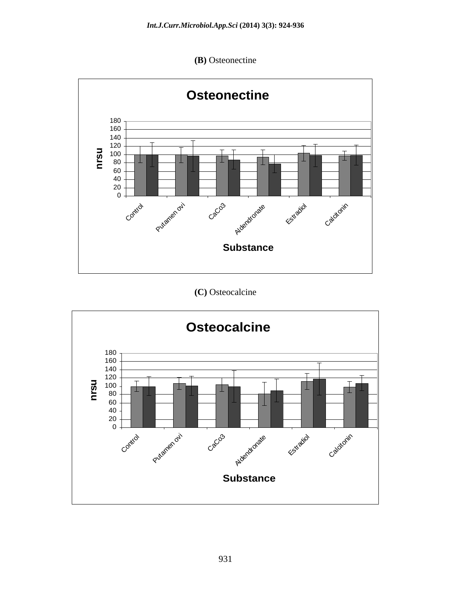**(B)** Osteonectine



**(C)** Osteocalcine

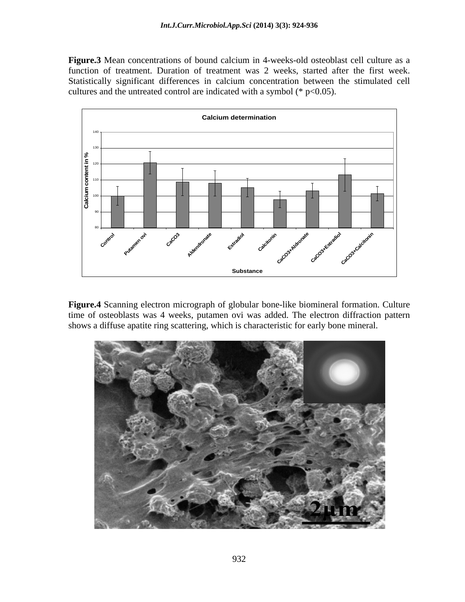**Figure.3** Mean concentrations of bound calcium in 4-weeks-old osteoblast cell culture as a function of treatment. Duration of treatment was 2 weeks, started after the first week. Statistically significant differences in calcium concentration between the stimulated cell cultures and the untreated control are indicated with a symbol ( $*$  p<0.05).



**Figure.4** Scanning electron micrograph of globular bone-like biomineral formation. Culture time of osteoblasts was 4 weeks, putamen ovi was added. The electron diffraction pattern shows a diffuse apatite ring scattering, which is characteristic for early bone mineral.

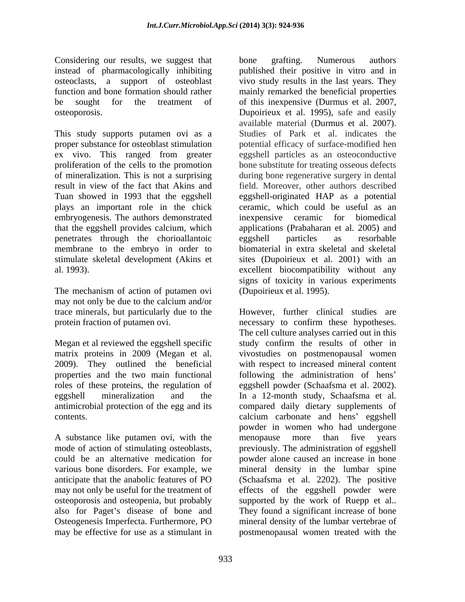Considering our results, we suggest that bone grafting. Numerous authors

This study supports putamen ovi as a Studies of Park et al. indicates the proper substance for osteoblast stimulation potential efficacy of surface-modified hen ex vivo. This ranged from greater proliferation of the cells to the promotion of mineralization. This is not a surprising during bone regenerative surgery in dental result in view of the fact that Akins and field. Moreover, other authors described Tuan showed in 1993 that the eggshell eggshell-originated HAP as a potential plays an important role in the chick embryogenesis. The authors demonstrated inexpensive ceramic for biomedical that the eggshell provides calcium, which applications (Prabaharan et al. 2005) and penetrates through the chorioallantoic membrane to the embryo in order to biomaterial in extra skeletal and skeletal stimulate skeletal development (Akins et sites (Dupoirieux et al. 2001) with an

The mechanism of action of putamen ovi may not only be due to the calcium and/or trace minerals, but particularly due to the protein fraction of putamen ovi. The recessary to confirm these hypotheses.

Megan et al reviewed the eggshell specific

A substance like putamen ovi, with the menopause more than five years may be effective for use as a stimulant in postmenopausal women treated with the

instead of pharmacologically inhibiting published their positive in vitro and in osteoclasts, a support of osteoblast vivo study results in the last years. They function and bone formation should rather mainly remarked the beneficial properties be sought for the treatment of of this inexpensive (Durmus et al. 2007, osteoporosis. Dupoirieux et al. 1995), safe and easily al. 1993). excellent biocompatibility without any bone grafting. Numerous authors available material (Durmus et al. 2007). Studies of Park et al. indicates the eggshell particles as an osteoconductive bone substitute for treating osseous defects ceramic, which could be useful as an inexpensive ceramic for biomedical eggshell particles as resorbable signs of toxicity in various experiments (Dupoirieux et al. 1995).

matrix proteins in 2009 (Megan et al. vivostudies on postmenopausal women 2009). They outlined the beneficial with respect to increased mineral content properties and the two main functional following the administration of hens roles of these proteins, the regulation of eggshell powder (Schaafsma et al. 2002). eggshell mineralization and the In a 12-month study, Schaafsma et al. antimicrobial protection of the egg and its compared daily dietary supplements of contents. The calcium carbonate and hens' eggshell mode of action of stimulating osteoblasts, previously. The administration of eggshell could be an alternative medication for powder alone caused an increase in bone various bone disorders. For example, we mineral density in the lumbar spine anticipate that the anabolic features of PO (Schaafsma et al. 2202). The positive may not only be useful for the treatment of effects of the eggshell powder were osteoporosis and osteopenia, but probably supported by the work of Ruepp et al.. also for Paget's disease of bone and They found a significant increase of bone Osteogenesis Imperfecta. Furthermore, PO mineral density of the lumbar vertebrae of However, further clinical studies are necessary to confirm these hypotheses. The cell culture analyses carried out in this study confirm the results of other in powder in women who had undergone menopause more than five years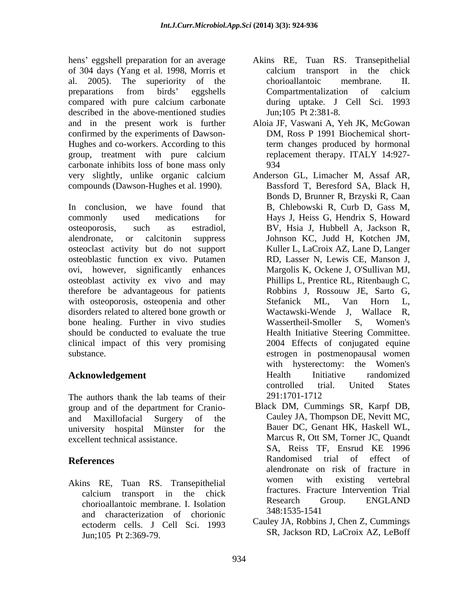hens' eggshell preparation for an average Akins RE, Tuan RS. Transepithelial of 304 days (Yang et al. 1998, Morris et al. 2005). The superiority of the preparations from birds' eggshells Compartmentalization of calcium compared with pure calcium carbonate during uptake. J Cell Sci. 1993 described in the above-mentioned studies and in the present work is further confirmed by the experiments of Dawson- Hughes and co-workers. According to this carbonate inhibits loss of bone mass only very slightly, unlike organic calcium compounds (Dawson-Hughes et al. 1990).

In conclusion, we have found that B, Chlebowski R, Curb D, Gass M, commonly used medications for Hays J, Heiss G, Hendrix S, Howard osteoporosis, such as estradiol, BV, Hsia J, Hubbell A, Jackson R, alendronate, or calcitonin suppress Johnson KC, Judd H, Kotchen JM, osteoclast activity but do not support osteoblastic function ex vivo. Putamen ovi, however, significantly enhances Margolis K, Ockene J, O'Sullivan MJ, osteoblast activity ex vivo and may therefore be advantageous for patients Robbins J, Rossouw JE, Sarto G, with osteoporosis, osteopenia and other Stefanick ML, Van Horn L, disorders related to altered bone growth or Wactawski-Wende J, Wallace R, bone healing. Further in vivo studies Wassertheil-Smoller S, Women's should be conducted to evaluate the true clinical impact of this very promising 2004 Effects of conjugated equine

The authors thank the lab teams of their 291:1701-1712 group and of the department for Cranio-

chorioallantoic membrane. I. Isolation<br>and characterization of chorionic 348:1535-1541 and characterization of chorionic Jun;105 Pt 2:369-79.

- calcium transport in the chick chorioallantoic membrane. II. Compartmentalization of calcium during uptake. J Cell Sci. 1993 Jun;105 Pt 2:381-8.
- group, treatment with pure calcium replacement therapy. ITALY 14:927-Aloia JF, Vaswani A, Yeh JK, McGowan DM, Ross P 1991 Biochemical shortterm changes produced by hormonal replacement therapy. ITALY 14:927- 934
- substance. estrogen in postmenopausal women **Acknowledgement** Health Initiative randomized controlled trial. United States Anderson GL, Limacher M, Assaf AR, Bassford T, Beresford SA, Black H, Bonds D, Brunner R, Brzyski R, Caan Kuller L, LaCroix AZ, Lane D, Langer RD, Lasser N, Lewis CE, Manson J, Phillips L, Prentice RL, Ritenbaugh C, Robbins J, Rossouw JE, Sarto G, Stefanick ML, Van Horn L, Wactawski-Wende J, Wallace R, Wassertheil-Smoller S, Women's Health Initiative Steering Committee. with hysterectomy: the Women's Health Initiative randomized controlled trial. United States 291:1701-1712
- and Maxillofacial Surgery of the Cauley JA, Thompson DE, Nevitt MC, university hospital Münster for the Bauer DC, Genant HK, Haskell WL, excellent technical assistance. Marcus R, Ott SM, Torner JC, Quandt **References** Randomised trial of effect of Akins RE, Tuan RS. Transepithelial women with existing vertebral calcium transport in the chick  $\Gamma$  ractures. Fracture intervention  $\Gamma$ Black DM, Cummings SR, Karpf DB, SA, Reiss TF, Ensrud KE 1996 Randomised trial of effect of alendronate on risk of fracture in women with existing vertebral fractures. Fracture Intervention Trial Research Group. ENGLAND 348:1535-1541
	- ectoderm cells. J Cell Sci. 1993 Cauley JA, RODDINS J, Chen  $\mathbb{Z}$ , Cummings Cauley JA, Robbins J, Chen Z, Cummings SR, Jackson RD, LaCroix AZ, LeBoff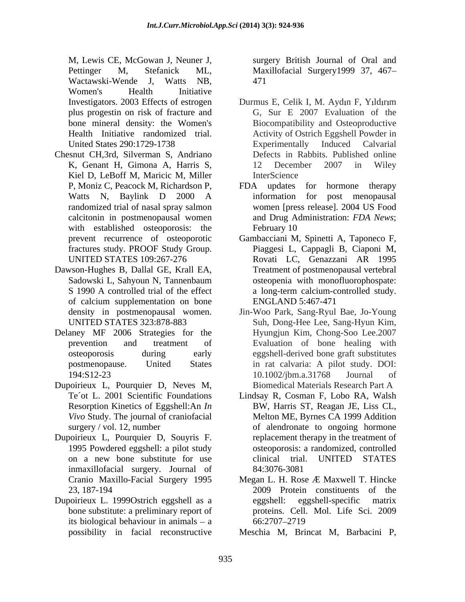M, Lewis CE, McGowan J, Neuner J, surgery British Journal of Oral and Pettinger M, Stefanick ML, Maxillofacial Surgery1999 37, 467 Wactawski-Wende J, Watts NB, Women's Health Initiative

- Chesnut CH,3rd, Silverman S, Andriano Kiel D, LeBoff M, Maricic M, Miller InterScience randomized trial of nasal spray salmon with established osteoporosis: the February 10
- Dawson-Hughes B, Dallal GE, Krall EA, of calcium supplementation on bone ENGLAND 5:467-471
- Delaney MF 2006 Strategies for the
- Dupoirieux L, Pourquier D, Neves M,
- Dupoirieux L, Pourquier D, Souyris F. inmaxillofacial surgery. Journal of
- Dupoirieux L. 1999 Ostrich eggshell as a eggshell: eggshell-specific matrix its biological behaviour in animals  $-$  a  $66:2707-2719$

471

- Investigators. 2003 Effects of estrogen Durmus E, Celik I, M. Aydın F, Yıldırım plus progestin on risk of fracture and G, Sur E 2007 Evaluation of the bone mineral density: the Women's Biocompatibility and Osteoproductive Health Initiative randomized trial. Activity of Ostrich Eggshell Powder in United States 290:1729-1738 Experimentally Induced Calvarial K, Genant H, Gimona A, Harris S, Durmus E, Celik I, M. Aydın F, Yıldırım Experimentally Induced Calvarial Defects in Rabbits. Published online 12 December 2007 in Wiley InterScience **Inter**
- P, Moniz C, Peacock M, Richardson P, FDA updates for hormone therapy Watts N, Baylink D 2000 A information for post menopausal calcitonin in postmenopausal women and Drug Administration: *FDA News*; FDA updates for hormone therapy information for post menopausal women [press release]. 2004 US Food February 10
- prevent recurrence of osteoporotic Gambacciani M, Spinetti A, Taponeco F, fractures study. PROOF Study Group. Piaggesi L, Cappagli B, Ciaponi M, UNITED STATES 109:267-276 Rovati LC, Genazzani AR 1995 Sadowski L, Sahyoun N, Tannenbaum S 1990 A controlled trial of the effect a long-term calcium-controlled study. Treatment of postmenopausal vertebral osteopenia with monofluorophospate: a long-term calcium-controlled study. ENGLAND 5:467-471
- density in postmenopausal women. Jin-Woo Park, Sang-Ryul Bae, Jo-Young UNITED STATES 323:878-883 Suh, Dong-Hee Lee, Sang-Hyun Kim, prevention and treatment of Evaluation of bone healing with osteoporosis during early eggshell-derived bone graft substitutes postmenopause. United States in rat calvaria: A pilot study. DOI: 194:S12-23 10.1002/jbm.a.31768 Journal of Hyungjun Kim, Chong-Soo Lee.2007 10.1002/jbm.a.31768 Journal of Biomedical Materials Research Part A
- Te´ot L. 2001 Scientific Foundations Lindsay R, Cosman F, Lobo RA, Walsh Resorption Kinetics of Eggshell:An *In*  BW, Harris ST, Reagan JE, Liss CL, *Vivo* Study. The journal of craniofacial Melton ME, Byrnes CA 1999 Addition surgery / vol. 12, number of alendronate to ongoing hormone 1995 Powdered eggshell: a pilot study osteoporosis: a randomized, controlled on a new bone substitute for use replacement therapy in the treatment of clinical trial. UNITED STATES 84:3076-3081
- Cranio Maxillo-Facial Surgery 1995 Megan L. H. Rose *Æ* Maxwell T. Hincke 23, 187-194 2009 Protein constituents of the bone substitute: a preliminary report of proteins. Cell. Mol. Life Sci. 2009 Megan L. H. Rose Æ Maxwell T. Hincke eggshell-specific 66:2707 2719
- possibility in facial reconstructive Meschia M, Brincat M, Barbacini P,